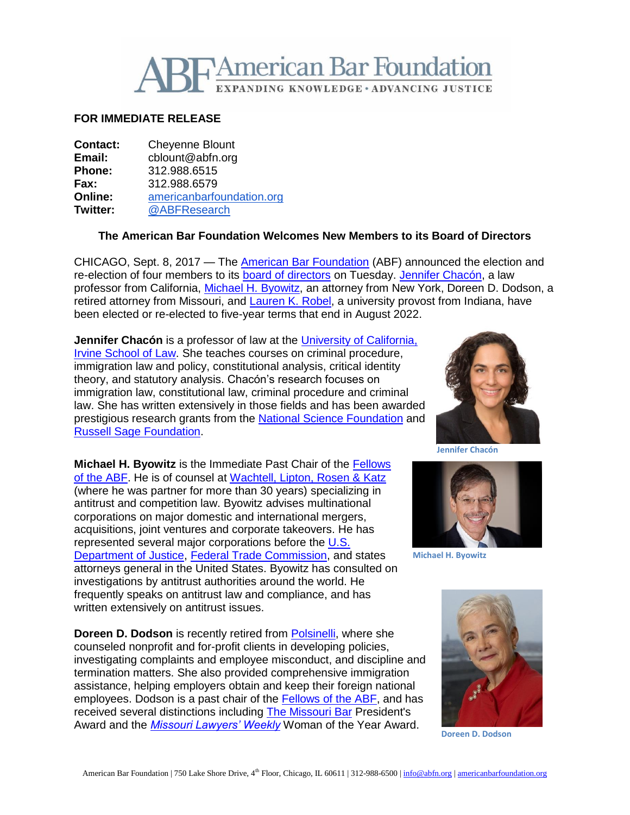

## **FOR IMMEDIATE RELEASE**

| <b>Contact:</b> | <b>Cheyenne Blount</b>    |
|-----------------|---------------------------|
| Email:          | cblount@abfn.org          |
| Phone:          | 312.988.6515              |
| Fax:            | 312.988.6579              |
| Online:         | americanbarfoundation.org |
| <b>Twitter:</b> | @ABFResearch              |
|                 |                           |

## **The American Bar Foundation Welcomes New Members to its Board of Directors**

CHICAGO, Sept. 8, 2017 — The [American Bar Foundation](http://www.americanbarfoundation.org/index.html) (ABF) announced the election and re-election of four members to its [board of directors](http://www.americanbarfoundation.org/about/Officersdirectors/Board_of_Directors0.html) on Tuesday. [Jennifer Chacón,](http://www.law.uci.edu/faculty/full-time/chacon/) a law professor from California, [Michael H. Byowitz,](http://www.wlrk.com/MHByowitz/) an attorney from New York, Doreen D. Dodson, a retired attorney from Missouri, and [Lauren K.](http://www.law.indiana.edu/about/people/bio.php?name=robel-lauren-kay) Robel, a university provost from Indiana, have been elected or re-elected to five-year terms that end in August 2022.

**Jennifer Chacón** is a professor of law at the [University of California,](http://www.law.uci.edu/)  [Irvine School of Law.](http://www.law.uci.edu/) She teaches courses on criminal procedure, immigration law and policy, constitutional analysis, critical identity theory, and statutory analysis. Chacón's research focuses on immigration law, constitutional law, criminal procedure and criminal law. She has written extensively in those fields and has been awarded prestigious research grants from the [National Science Foundation](https://www.nsf.gov/) and [Russell Sage Foundation.](https://www.russellsage.org/)

**Michael H. Byowitz** is the Immediate Past Chair of the [Fellows](http://www.americanbarfoundation.org/fellows/index.html)  [of the ABF.](http://www.americanbarfoundation.org/fellows/index.html) He is of counsel at [Wachtell, Lipton, Rosen & Katz](http://www.wlrk.com/) (where he was partner for more than 30 years) specializing in antitrust and competition law. Byowitz advises multinational corporations on major domestic and international mergers, acquisitions, joint ventures and corporate takeovers. He has represented several major corporations before the [U.S.](https://www.justice.gov/)  [Department of Justice,](https://www.justice.gov/) [Federal Trade Commission,](https://www.ftc.gov/) and states attorneys general in the United States. Byowitz has consulted on investigations by antitrust authorities around the world. He frequently speaks on antitrust law and compliance, and has written extensively on antitrust issues.

**Doreen D. Dodson** is recently retired from **Polsinelli**, where she counseled nonprofit and for-profit clients in developing policies, investigating complaints and employee misconduct, and discipline and termination matters. She also provided comprehensive immigration assistance, helping employers obtain and keep their foreign national employees. Dodson is a past chair of the [Fellows of the ABF,](http://www.americanbarfoundation.org/fellows/index.html) and has received several distinctions including [The Missouri Bar](http://www.mobar.org/) President's Award and the *[Missouri Lawyers' Weekly](http://molawyersmedia.com/news/missouri-lawyers-weekly/)* Woman of the Year Award.



**Jennifer Chacón**



**Michael H. Byowitz**



**Doreen D. Dodson**